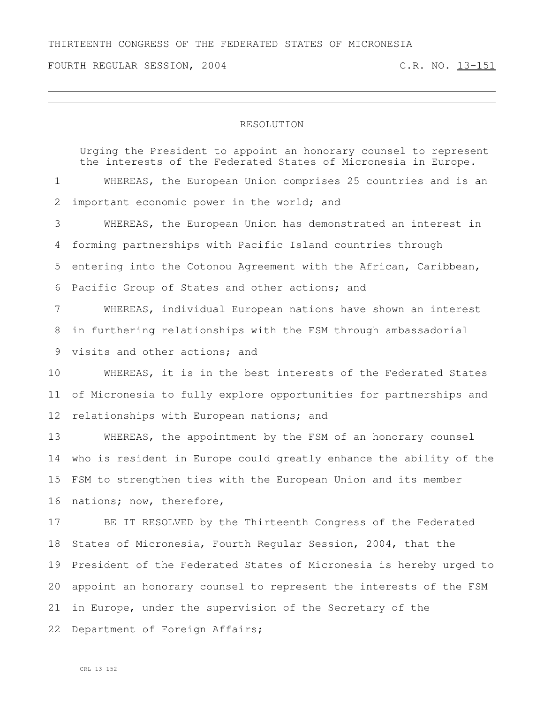FOURTH REGULAR SESSION, 2004 C.R. NO. 13-151

## RESOLUTION

Urging the President to appoint an honorary counsel to represent the interests of the Federated States of Micronesia in Europe. WHEREAS, the European Union comprises 25 countries and is an 2 important economic power in the world; and WHEREAS, the European Union has demonstrated an interest in forming partnerships with Pacific Island countries through entering into the Cotonou Agreement with the African, Caribbean, Pacific Group of States and other actions; and WHEREAS, individual European nations have shown an interest in furthering relationships with the FSM through ambassadorial visits and other actions; and WHEREAS, it is in the best interests of the Federated States of Micronesia to fully explore opportunities for partnerships and 12 relationships with European nations; and WHEREAS, the appointment by the FSM of an honorary counsel who is resident in Europe could greatly enhance the ability of the FSM to strengthen ties with the European Union and its member nations; now, therefore, BE IT RESOLVED by the Thirteenth Congress of the Federated

 States of Micronesia, Fourth Regular Session, 2004, that the President of the Federated States of Micronesia is hereby urged to appoint an honorary counsel to represent the interests of the FSM in Europe, under the supervision of the Secretary of the 22 Department of Foreign Affairs;